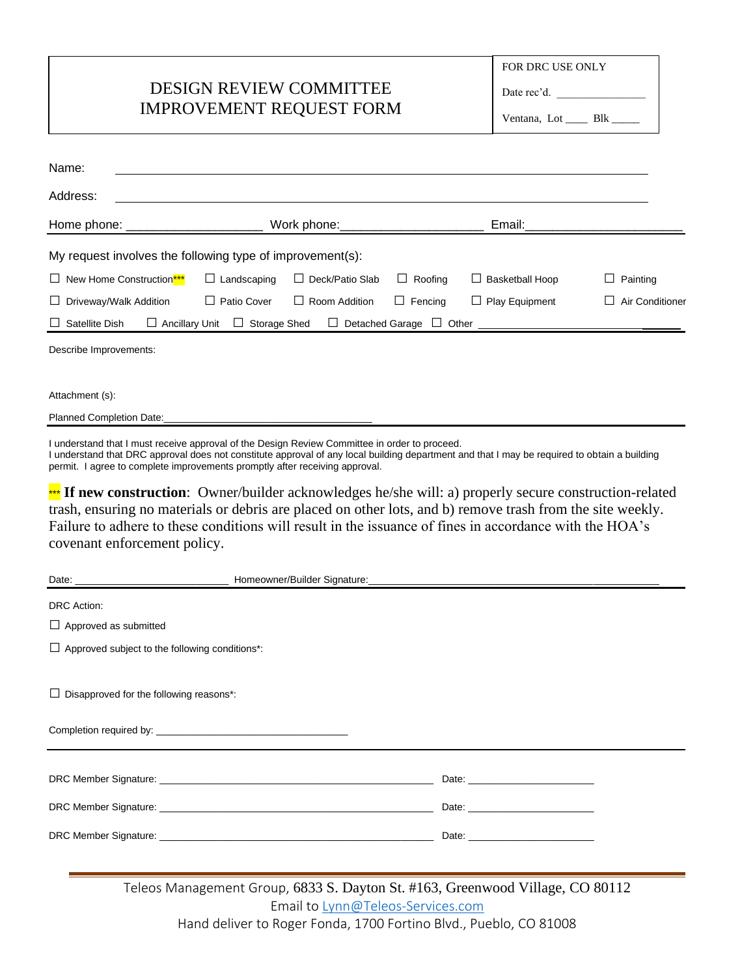## DESIGN REVIEW COMMITTEE IMPROVEMENT REQUEST FORM

Date rec'd.

Ventana, Lot \_\_\_\_\_ Blk \_

| Name:                                                                                                                         |                               |                                |              |                                        |                 |  |  |
|-------------------------------------------------------------------------------------------------------------------------------|-------------------------------|--------------------------------|--------------|----------------------------------------|-----------------|--|--|
| Address:                                                                                                                      |                               |                                |              |                                        |                 |  |  |
| Home phone: __________________                                                                                                |                               | Work phone: __________________ | Email:       |                                        |                 |  |  |
| My request involves the following type of improvement(s):                                                                     |                               |                                |              |                                        |                 |  |  |
| $\Box$ New Home Construction <sup>***</sup>                                                                                   | Landscaping<br>$\blacksquare$ | Deck/Patio Slab<br>$\perp$     | Roofing<br>ш | <b>Basketball Hoop</b><br>$\mathsf{L}$ | Painting        |  |  |
| $\Box$ Driveway/Walk Addition                                                                                                 | $\Box$ Patio Cover            | Room Addition<br>$\perp$       | Fencing<br>ш | Play Equipment<br>ப                    | Air Conditioner |  |  |
| <b>Storage Shed</b><br>Satellite Dish<br><b>Ancillary Unit</b><br><b>Detached Garage</b><br>$\Box$ Other<br>⊔<br>$\mathbf{L}$ |                               |                                |              |                                        |                 |  |  |

Describe Improvements:

Attachment (s):

Planned Completion Date:

I understand that I must receive approval of the Design Review Committee in order to proceed.

I understand that DRC approval does not constitute approval of any local building department and that I may be required to obtain a building permit. I agree to complete improvements promptly after receiving approval.

\*\*\* If new construction: Owner/builder acknowledges he/she will: a) properly secure construction-related trash, ensuring no materials or debris are placed on other lots, and b) remove trash from the site weekly. Failure to adhere to these conditions will result in the issuance of fines in accordance with the HOA's covenant enforcement policy.

| DRC Action:                                           |  |                                                                                                                                                                                                                                      |  |  |  |  |
|-------------------------------------------------------|--|--------------------------------------------------------------------------------------------------------------------------------------------------------------------------------------------------------------------------------------|--|--|--|--|
| $\Box$ Approved as submitted                          |  |                                                                                                                                                                                                                                      |  |  |  |  |
| $\Box$ Approved subject to the following conditions*: |  |                                                                                                                                                                                                                                      |  |  |  |  |
|                                                       |  |                                                                                                                                                                                                                                      |  |  |  |  |
| $\Box$ Disapproved for the following reasons*:        |  |                                                                                                                                                                                                                                      |  |  |  |  |
|                                                       |  |                                                                                                                                                                                                                                      |  |  |  |  |
|                                                       |  |                                                                                                                                                                                                                                      |  |  |  |  |
|                                                       |  |                                                                                                                                                                                                                                      |  |  |  |  |
|                                                       |  | Date: <u>with the same and the same of the same of the same of the same of the same of the same of the same of the same of the same of the same of the same of the same of the same of the same of the same of the same of the s</u> |  |  |  |  |
|                                                       |  | Date: <u>with the same and the same and the same of the same of the same of the same of the same of the same of the same of the same of the same of the same of the same of the same of the same of the same of the same of the </u> |  |  |  |  |
|                                                       |  | Date: the contract of the contract of the contract of the contract of the contract of the contract of the contract of the contract of the contract of the contract of the contract of the contract of the contract of the cont       |  |  |  |  |
|                                                       |  |                                                                                                                                                                                                                                      |  |  |  |  |
|                                                       |  |                                                                                                                                                                                                                                      |  |  |  |  |

Teleos Management Group, 6833 S. Dayton St. #163, Greenwood Village, CO 80112 Email to [Lynn@Teleos-Services.com](mailto:Lynn@Teleos-Services.com) Hand deliver to Roger Fonda, 1700 Fortino Blvd., Pueblo, CO 81008